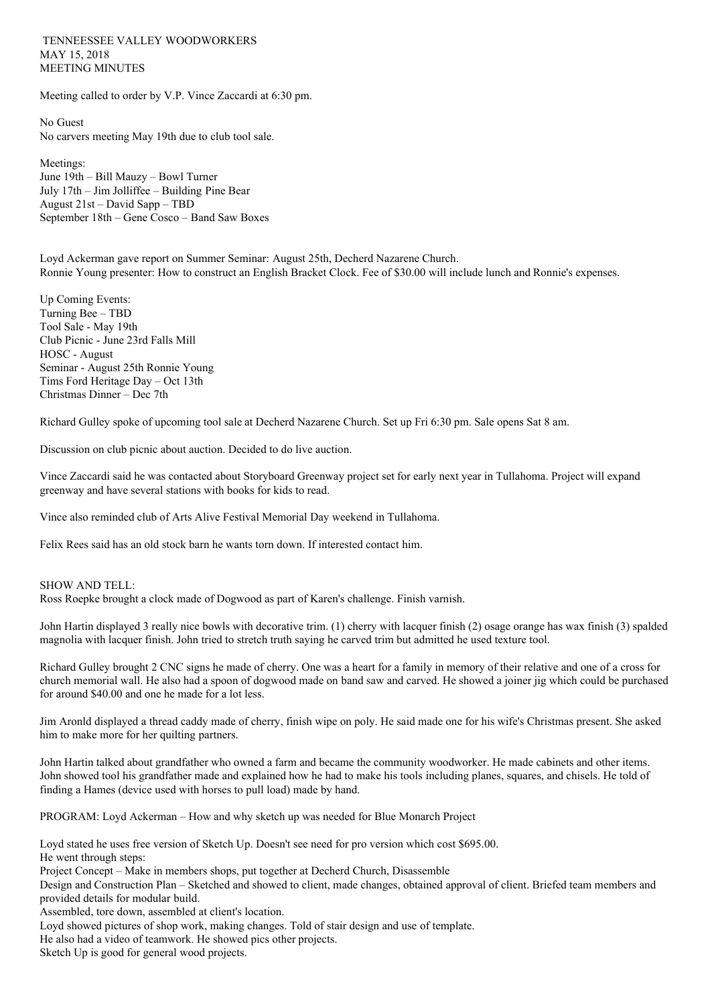TENNEESSEE VALLEY WOODWORKERS MAY 15, 2018 MEETING MINUTES

Meeting called to order by V.P. Vince Zaccardi at 6:30 pm.

No Guest No carvers meeting May 19th due to club tool sale.

Meetings: June 19th – Bill Mauzy – Bowl Turner July 17th – Jim Jolliffee – Building Pine Bear August 21st – David Sapp – TBD September 18th – Gene Cosco – Band Saw Boxes

Loyd Ackerman gave report on Summer Seminar: August 25th, Decherd Nazarene Church. Ronnie Young presenter: How to construct an English Bracket Clock. Fee of \$30.00 will include lunch and Ronnie's expenses.

Up Coming Events: Turning Bee – TBD Tool Sale - May 19th Club Picnic - June 23rd Falls Mill HOSC - August Seminar - August 25th Ronnie Young Tims Ford Heritage Day – Oct 13th Christmas Dinner – Dec 7th

Richard Gulley spoke of upcoming tool sale at Decherd Nazarene Church. Set up Fri 6:30 pm. Sale opens Sat 8 am.

Discussion on club picnic about auction. Decided to do live auction.

Vince Zaccardi said he was contacted about Storyboard Greenway project set for early next year in Tullahoma. Project will expand greenway and have several stations with books for kids to read.

Vince also reminded club of Arts Alive Festival Memorial Day weekend in Tullahoma.

Felix Rees said has an old stock barn he wants torn down. If interested contact him.

SHOW AND TELL:

Ross Roepke brought a clock made of Dogwood as part of Karen's challenge. Finish varnish.

John Hartin displayed 3 really nice bowls with decorative trim. (1) cherry with lacquer finish (2) osage orange has wax finish (3) spalded magnolia with lacquer finish. John tried to stretch truth saying he carved trim but admitted he used texture tool.

Richard Gulley brought 2 CNC signs he made of cherry. One was a heart for a family in memory of their relative and one of a cross for church memorial wall. He also had a spoon of dogwood made on band saw and carved. He showed a joiner jig which could be purchased for around \$40.00 and one he made for a lot less.

Jim Aronld displayed a thread caddy made of cherry, finish wipe on poly. He said made one for his wife's Christmas present. She asked him to make more for her quilting partners.

John Hartin talked about grandfather who owned a farm and became the community woodworker. He made cabinets and other items. John showed tool his grandfather made and explained how he had to make his tools including planes, squares, and chisels. He told of finding a Hames (device used with horses to pull load) made by hand.

PROGRAM: Loyd Ackerman – How and why sketch up was needed for Blue Monarch Project

Loyd stated he uses free version of Sketch Up. Doesn't see need for pro version which cost \$695.00. He went through steps:

Project Concept – Make in members shops, put together at Decherd Church, Disassemble

Design and Construction Plan – Sketched and showed to client, made changes, obtained approval of client. Briefed team members and provided details for modular build.

Assembled, tore down, assembled at client's location.

Loyd showed pictures of shop work, making changes. Told of stair design and use of template.

He also had a video of teamwork. He showed pics other projects.

Sketch Up is good for general wood projects.